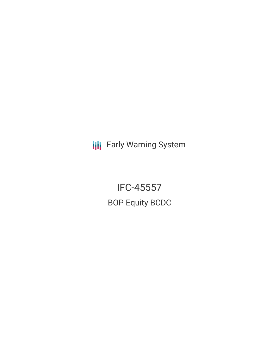**III** Early Warning System

IFC-45557 BOP Equity BCDC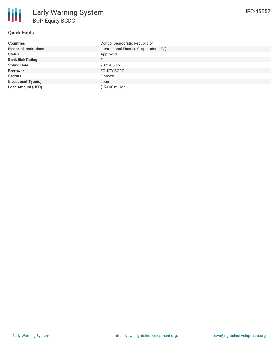| <b>Countries</b>              | Congo, Democratic Republic of           |
|-------------------------------|-----------------------------------------|
| <b>Financial Institutions</b> | International Finance Corporation (IFC) |
| <b>Status</b>                 | Approved                                |
| <b>Bank Risk Rating</b>       | FI.                                     |
| <b>Voting Date</b>            | 2021-06-15                              |
| <b>Borrower</b>               | EQUITY BCDC                             |
| <b>Sectors</b>                | Finance                                 |
| <b>Investment Type(s)</b>     | Loan                                    |
| <b>Loan Amount (USD)</b>      | \$50.00 million                         |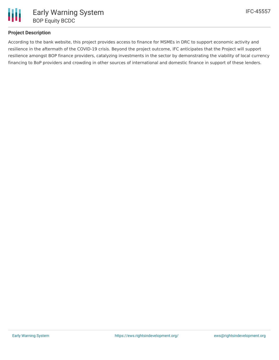

## **Project Description**

According to the bank website, this project provides access to finance for MSMEs in DRC to support economic activity and resilience in the aftermath of the COVID-19 crisis. Beyond the project outcome, IFC anticipates that the Project will support resilience amongst BOP finance providers, catalyzing investments in the sector by demonstrating the viability of local currency financing to BoP providers and crowding in other sources of international and domestic finance in support of these lenders.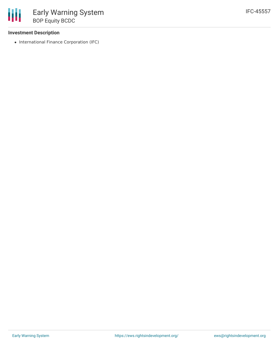## **Investment Description**

• International Finance Corporation (IFC)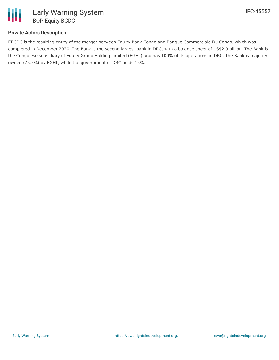

# **Private Actors Description**

EBCDC is the resulting entity of the merger between Equity Bank Congo and Banque Commerciale Du Congo, which was completed in December 2020. The Bank is the second largest bank in DRC, with a balance sheet of US\$2.9 billion. The Bank is the Congolese subsidiary of Equity Group Holding Limited (EGHL) and has 100% of its operations in DRC. The Bank is majority owned (75.5%) by EGHL, while the government of DRC holds 15%.